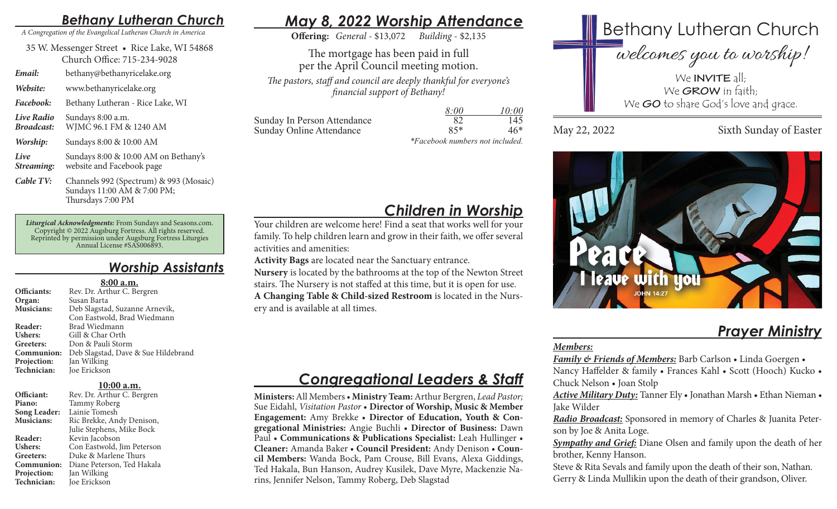## *Bethany Lutheran Church*

*A Congregation of the Evangelical Lutheran Church in America*

35 W. Messenger Street • Rice Lake, WI 54868 Church Office: 715-234-9028

*Email:* bethany@bethanyricelake.org

*Website:* www.bethanyricelake.org

*Facebook:* Bethany Lutheran - Rice Lake, WI

*Live Radio* Sundays 8:00 a.m. *Broadcast:* WJMC 96.1 FM & 1240 AM

*Worship:* Sundays 8:00 & 10:00 AM

*Live* Sundays 8:00 & 10:00 AM on Bethany's *Streaming:* website and Facebook page

*Cable TV:* Channels 992 (Spectrum) & 993 (Mosaic) Sundays 11:00 AM & 7:00 PM; Thursdays 7:00 PM

*Liturgical Acknowledgments:* From Sundays and Seasons.com. Copyright © 2022 Augsburg Fortress. All rights reserved. Reprinted by permission under Augsburg Fortress Liturgies Annual License #SAS006893.

## *Worship Assistants*

#### **8:00 a.m.**

| Officiants:       | Rev. Dr. Arthur C. Bergren          |
|-------------------|-------------------------------------|
| Organ:            | Susan Barta                         |
| <b>Musicians:</b> | Deb Slagstad, Suzanne Arnevik,      |
|                   | Con Eastwold, Brad Wiedmann         |
| Reader:           | Brad Wiedmann                       |
| <b>Ushers:</b>    | Gill & Char Orth                    |
| Greeters:         | Don & Pauli Storm                   |
| Communion:        | Deb Slagstad, Dave & Sue Hildebrand |
| Projection:       | Jan Wilking                         |
| Technician:       | Joe Erickson                        |
|                   |                                     |

#### **10:00 a.m.**

| Officiant:     | Rev. Dr. Arthur C. Bergren |
|----------------|----------------------------|
| Piano:         | Tammy Roberg               |
| Song Leader:   | Lainie Tomesh              |
| Musicians:     | Ric Brekke, Andy Denison,  |
|                | Julie Stephens, Mike Bock  |
| Reader:        | Kevin Jacobson             |
| <b>Ushers:</b> | Con Eastwold, Jim Peterson |
| Greeters:      | Duke & Marlene Thurs       |
| Communion:     | Diane Peterson, Ted Hakala |
| Projection:    | Jan Wilking                |
| Technician:    | Joe Erickson               |

# *May 8, 2022 Worship Attendance*

**Offering:** *General* - \$13,072 *Building* - \$2,135

The mortgage has been paid in full per the April Council meeting motion. *The pastors, staff and council are deeply thankful for everyone's financial support of Bethany!*

|                             | 8:00                                        | 10:00 |
|-----------------------------|---------------------------------------------|-------|
| Sunday In Person Attendance | 82                                          | 145   |
| Sunday Online Attendance    | $85*$                                       | $46*$ |
|                             | $*F_{\alpha}$ school weeks are not included |       |

*\*Facebook numbers not included.*

# *Children in Worship*

Your children are welcome here! Find a seat that works well for your family. To help children learn and grow in their faith, we offer several activities and amenities:

**Activity Bags** are located near the Sanctuary entrance.

**Nursery** is located by the bathrooms at the top of the Newton Street stairs. The Nursery is not staffed at this time, but it is open for use. **A Changing Table & Child-sized Restroom** is located in the Nursery and is available at all times.

## *Congregational Leaders & Staff*

**Ministers:** All Members • **Ministry Team:** Arthur Bergren, *Lead Pastor;*  Sue Eidahl, *Visitation Pastor* • **Director of Worship, Music & Member Engagement:** Amy Brekke • **Director of Education, Youth & Congregational Ministries:** Angie Buchli • **Director of Business:** Dawn Paul • **Communications & Publications Specialist:** Leah Hullinger • **Cleaner:** Amanda Baker • **Council President:** Andy Denison • **Council Members:** Wanda Bock, Pam Crouse, Bill Evans, Alexa Giddings, Ted Hakala, Bun Hanson, Audrey Kusilek, Dave Myre, Mackenzie Narins, Jennifer Nelson, Tammy Roberg, Deb Slagstad



We **GO** to share God's love and grace.

May 22, 2022 Sixth Sunday of Easter



# *Prayer Ministry*

### *Members:*

*Family & Friends of Members:* Barb Carlson • Linda Goergen • Nancy Haffelder & family • Frances Kahl • Scott (Hooch) Kucko • Chuck Nelson • Joan Stolp

*Active Military Duty:* Tanner Ely • Jonathan Marsh • Ethan Nieman • Jake Wilder

*Radio Broadcast:* Sponsored in memory of Charles & Juanita Peterson by Joe & Anita Loge.

*Sympathy and Grief:* Diane Olsen and family upon the death of her brother, Kenny Hanson.

Steve & Rita Sevals and family upon the death of their son, Nathan. Gerry & Linda Mullikin upon the death of their grandson, Oliver.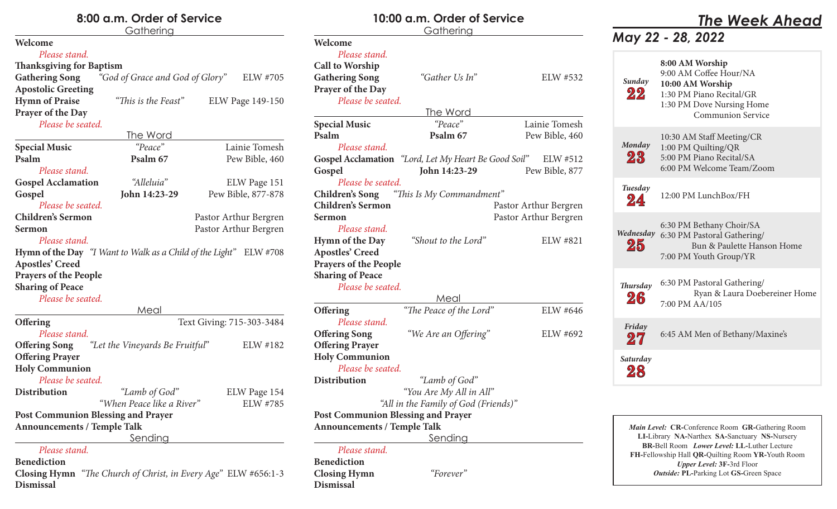## **8:00 a.m. Order of Service**

### **Gathering Welcome** *Please stand.* **Thanksgiving for Baptism Gathering Song** *"God of Grace and God of Glory"* ELW #705 **Apostolic Greeting Hymn of Praise** *"This is the Feast"* ELW Page 149-150 **Prayer of the Day** *Please be seated.* The Word **Special Music** *"Peace"* Lainie Tomesh **Psalm Psalm** 67 Pew Bible, 460 *Please stand.* **Gospel Acclamation** *"Alleluia"* ELW Page 151 **Gospel John 14:23-29** Pew Bible, 877-878 *Please be seated.* **Children's Sermon** Pastor Arthur Bergren **Sermon** Pastor Arthur Bergren *Please stand.* **Hymn of the Day** *"I Want to Walk as a Child of the Light"* ELW #708 **Apostles' Creed Prayers of the People Sharing of Peace** *Please be seated.* Meal **Offering** Text Giving: 715-303-3484 *Please stand.* **Offering Song** *"Let the Vineyards Be Fruitful*" ELW #182 **Offering Prayer Holy Communion** *Please be seated.* **Distribution** *"Lamb of God"* ELW Page 154 *"When Peace like a River"* ELW #785 **Post Communion Blessing and Prayer**

**Announcements / Temple Talk**

Sending

### *Please stand.*

**Benediction**

**Closing Hymn** *"The Church of Christ, in Every Age"* ELW #656:1-3 **Dismissal**

### **10:00 a.m. Order of ServiceGathering Welcome** *Please stand.* **Call to Worship** Gathering Song *"Gather Us In"* ELW #532 **Prayer of the Day** *Please be seated.* The Word **Special Music** *"Peace"* Lainie Tomesh **Psalm Psalm** 67 Pew Bible, 460 *Please stand.* **Gospel Acclamation** *"Lord, Let My Heart Be Good Soil"* ELW #512 **Gospel John 14:23-29** Pew Bible, 877 *Please be seated.* **Children's Song** *"This Is My Commandment"* **Children's Sermon** Pastor Arthur Bergren **Sermon** Pastor Arthur Bergren *Please stand.* **Hymn of the Day** *"Shout to the Lord"* ELW #821 **Apostles' Creed Prayers of the People Sharing of Peace** *Please be seated.* Meal **Offering** *<i>"The Peace of the Lord"* ELW #646 *Please stand.* **Offering Song** *"We Are an Offering"* ELW #692 **Offering Prayer Holy Communion** *Please be seated.* **Distribution** *"Lamb of God" "You Are My All in All" "All in the Family of God (Friends)"* **Post Communion Blessing and Prayer Announcements / Temple Talk** Sending *Please stand.* **Benediction Closing Hymn** *"Forever"*

**Dismissal**

# *The Week Ahead*

## *May 22 - 28, 2022*

| Sunday<br>22    | 8:00 AM Worship<br>9:00 AM Coffee Hour/NA<br>10:00 AM Worship<br>1:30 PM Piano Recital/GR<br>1:30 PM Dove Nursing Home<br><b>Communion Service</b> |
|-----------------|----------------------------------------------------------------------------------------------------------------------------------------------------|
| Monday<br>23    | 10:30 AM Staff Meeting/CR<br>1:00 PM Quilting/QR<br>5:00 PM Piano Recital/SA<br>6:00 PM Welcome Team/Zoom                                          |
| Tuesday<br>24   | 12:00 PM LunchBox/FH                                                                                                                               |
| Wednesday<br>25 | 6:30 PM Bethany Choir/SA<br>6:30 PM Pastoral Gathering/<br>Bun & Paulette Hanson Home<br>7:00 PM Youth Group/YR                                    |
| Thursday<br>26  | 6:30 PM Pastoral Gathering/<br>Ryan & Laura Doebereiner Home<br>7:00 PM AA/105                                                                     |
| Friday<br>27    | 6:45 AM Men of Bethany/Maxine's                                                                                                                    |
| Saturday        |                                                                                                                                                    |

*Main Level:* **CR-**Conference Room **GR-**Gathering Room **LI-**Library **NA-**Narthex **SA-**Sanctuary **NS-**Nursery **BR-**Bell Room *Lower Level:* **LL-**Luther Lecture **FH-**Fellowship Hall **QR-**Quilting Room **YR-**Youth Room *Upper Level:* **3F-**3rd Floor *Outside:* **PL-**Parking Lot **GS-**Green Space